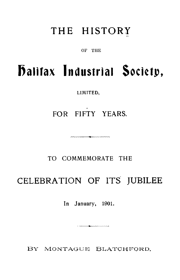# THE HISTORY

OF THE

# **Halifax industrial Society,**

LIMITED,

FOR FIFTY YEARS.

<u>MAARAHAA 1999 AMBAD WAXAA MAR</u>

### TO COMMEMORATE THE

## CELEBRATION OF ITS JUBILEE

In January, 1901.

a a<del>n compositor de la c</del>ompositor de la compositor de la compositor de la compositor de la compositor de la compositor de la compositor de la compositor de la compositor de la compositor de la compositor de la compositor

BY MONTAGUE BLATCHFORD,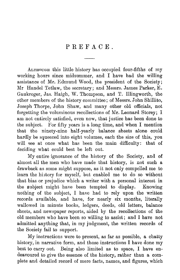#### PREFACE.

ALTHOUGH this little history has occupied four-fifths of my working hours since midsummer, and I have had the willing assistance of Mr. Edmund Wood, the president of the Society ; Mr Handel Tetlaw, the secretary; and Messrs. James Parker, E. Gaukroger, Jas. Haigh, W. Thompson, and T. Illingworth, the other members of the history committee ; of Messrs. John Shillito, Joseph Thorpe, John Shaw, and many other old officials, not forgetting the voluminous recollections of Mr. Leonard Storey; I am not entirely satisfied, even now, that justice has been done to the subject. For fifty years is a long time, and when I mention that the ninety-nine half-yearly balance sheets alone could hardly be squeezed into eight volumes, each the size of this, you will see at once what has been the main difficulty: that of deciding what could best be left out.

My entire ignorance of the history of the Society, and of almost all the men who have made that history, is not such a drawback as some might suppose, as it not only compelled me to learn the history for myself, but enabled me to do so without that bias or prejudice which a writer with a personal interest in the subject might have been tempted to display. Knowing nothing of the subject, I have had to rely upon the written records available, and have, for nearly six months, literally wallowed in minute books, ledgers, deeds, old letters, balance sheets, and newspaper reports, aided by the recollections of the old members who have been so willing to assist ; and I have not admitted anything that, in my judgment, the written records of the Society fail to support.

My instructions were to present, as far as possible, a chatty history, in narrative form, and those instructions I have done my best to carry out. Being also limited as to space, I have endeavoured to give the essence of the history, rather than a complete and detailed record of mere facts, names, and figures, which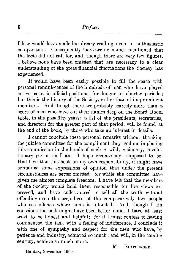8<br>
Feface.<br> **Example 3**<br> **Example 3**<br> **Example 3**<br> **Example 3**<br> **Example 3**<br> **Example 3**<br> **Example 4**<br> **Example 4**<br> **Example 4**<br> **Example 4**<br> **Example 4**<br> **Example 4**<br> **Example 4**<br> **Example 4**<br> **Example 4**<br> **Example 4**<br> **E** I fear would have made but dreary reading even to enthusiastic co-operators. Consequently there are no names mentioned that the facts did not call for, and, though there are very few figures, I believe none have been omitted that are necessary to a clear understanding of the great financial fluctuations the Society has experienced.

It would have been easily possible to fill the space with personal reminiscences of the hundreds of men who have played active parts, in official positions, for longer or shorter periods ; but this is the history of the Society, rather than of its prominent members. And though there are probably scarcely more than a score of men who have cut their names deep on the Board Room table, in the past fifty years ; a list of the presidents, secretaries, and directors for the greater part of that period, will be found at the end of the book, by those who take an interest in details.

I cannot conclude these personal remarks without thanking the jubilee committee for the compliment they paid me in placing this commission in the hands of such a wild, visionary, revolutionary person as I am—I hope erroneously —supposed to be. Had I written this book on my own responsibility, it might have contained some expressions of opinion that under the present circumstances are better omitted ; for while the committee have given me almost complete freedom, I have felt that the members of the Society would hold them responsible for the views expressed, and have endeavoured to tell all the truth without offending even the prejudices of the comparatively few people who see offence where none is intended. And, though I am conscious the task might have been better done, I have at least tried to be honest and helpful; for if I must confess to having commenced the task with a feeling of indifference, I conclude it with one of sympathy and respect for the men who have, by patience and industry, achieved so much ; and will, in the coming century, achieve so much more.

M. BLATCHFORD.

Halifax, November, 1900.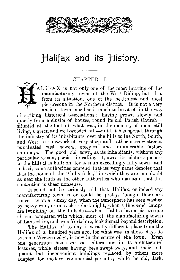

# Halifax and its History.

#### CHAPTER I.



AL IF A X is not only one of the most thriving of the manufacturing towns of the West Riding, but also, from its situation, one of the healthiest and most picturesque in the Northern district. It is not a very ancient town, nor has it much to boast of in the way

of striking historical associations ; having grown slowly and quietly from a cluster of houses, round its old Parish Church situated at the foot of what was, in the memory of men still living, a green and well-wooded hill—until it has spread, through the industry of its inhabitants, over the hills to the North, South, and West, in a network of very steep and rather narrow streets, punctuated with towers, steeples, and innumerable factory chimneys. The good old town, as its inhabitants, without any particular reason, persist in calling it, owes its picturesqueness to the hills it is built on, for it is an exceedingly hilly town, and indeed, some authorities contend that its very name denotes that it is the home of the " hilly folks," in which they are no doubt as near the truth as the other authorities who maintain that this contention is sheer nonsense.

It could not be seriously said that Halifax, or indeed any manufacturing town, is, or could be pretty, though there are times— as on a sunny day, when the atmosphere has been washed by heavy rain, or on a clear dark night, when a thousand lamps are twinkling on the hillsides—when Halifax has a picturesque charm, compared with which, most of the manufacturing towns of Lancashire, and even Yorkshire, look dismal beyond description.

The Halifax of to-day is a vastly different place from the Halifax of a hundred years ago, for what was in those days its extreme Western edge, is now in the centre of the town. Even one generation has seen vast alterations in its architectural features, whole streets having been swept away, and their old, quaint but inconvenient buildings replaced by others more adapted for modern commercial persuits; while the old, dark,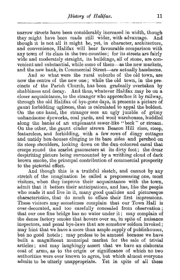*History of Halifax.* 11<br>
and considerably increased in width, though<br>
made still wider, with advantage. And<br>
might has used in the system angle including narrow streets have been considerably increased in width, though they might have been made still wider, with advantage. And though it is not all it might be, yet, in character, architecture, and convenience, Halifax will bear favourable comparison with any town of its class in the two counties: for its streets are fairly wide and moderately straight, its buildings, all of stone, are convenient and substantial, while some of them—as the new markets, and the new bank, in Commercial Street—are actually handsome.

And so what were the rural suburbs of the old town, are now the centre of the new one; while the old town, in the precincts of the Parish Church, has been gradually overtaken by shabbiness and decay. And thus, whatever Halifax may be on a closer acquaintance, to the stranger who approaches it by railway, through the old Halifax of bye-gone days, it presents a picture of gaunt forbidding ugliness, that is calculated to appal the boldest. On the one hand, the stranger sees an ugly jumble of grimy unhandsome dyeworks, coal yards, and wool warehouses, huddled along the banks of an unpleasant sewer-like " beck " or stream. On the other, the gaunt cinder strewn Beacon Hill rises, steep, featureless, and forbidding, with a few rows of dingy cottages and untidy hen-houses clinging to its bare sides and perched on its steep shoulders, looking down on the dun-coloured canal that creeps round the scarlet gasometers at its dirty foot ; the drear despiriting picture being surmounted by a writhing cloud of dark brown smoke, the principal contribution of commercial prosperity to the pictorial effect.

And though this is a truthful sketch, and cannot by any stretch of the imagination be called a prepossessing one, most visitors, when they improve their acquaintance with the town, admit that it betters their anticipations, and has, like the people who made it and live in it, many good qualities and picturesque characteristics, that do much to efface their first impressions. These visitors may sometimes complain that our Town Hall is over-decorated, and too carefully concealed from observation ; that our one fine bridge has no water under it ; may complain of the dense factory smoke that hovers over us, in spite of nuisance inspectors, and penal bye-laws that are somehow seldom invoked ; may hint that we have a more than ample supply of publichouses, but no good hotels ; may profess to be amused because we have built a magnificent municipal market for the sale of trivial articles ; and may laughingly assert that we have an elaborate coat of arms, as to the origin or significance of which no two authorities were ever known to agree, but which almost everyone admits to be utterly unappropriate. Yet in spite of all these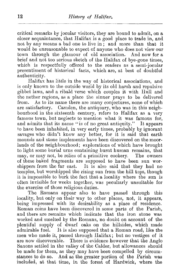12 *History of Halifax.*<br>
<u>Philosophyte and</u><br> *History of Halifax.*<br>
<u>Philosophyte</u> is presented a remarks by jocular visitors, they are critical remarks by jocular visitors, they are bound to admit, on a closer acquaintance, that Halifax is a good place to trade in, and not by any means a bad one to live in ; and more than that it would be unreasonable to expect of anyone who does not view our town through the glamour of old association. And now for a brief and not too serious sketch of the Halifax of bye-gone times, which is respectfully offered to the readers as a semi-jocular presentiment of historical facts, which are, at best of doubtful authenticity.

Halifax has little in the way of historical associations, and is only known to the outside world by its old harsh and repulsive gibbet laws, and a ribald verse which couples it with Hull and the nether regions, as a place the sinner prays to be delivered from. As to its name there are many conjectures, none of which are satisfactory. Camden, the antiquary, who was in this neighbourhood in the sixteenth century, refers to Halifax as a very famous town, but neglects to mention what it was famous for, and admits that its name "is of no great antiquity." It appears to have been inhabited, in very early times, probably by ignorant savages who didn't know any better, for it is said that earth mounds and stone implements have been discovered on the moorlands of the neighbourhood; explorations of which have brought to light some burial urns containing burnt human remains, that may, or may not, be relics of a primitive cookery. The owners of these baked fragments are supposed to have been sun worshippers from the far east. It is also said that they had no temples, but worshipped the rising sun from the hill tops, though it is impossible to burk the fact that a locality where the sun is often invisible for weeks together, was peculiarly unsuitable for the exercise of those religious duties.

The Romans appear also to have passed through this locality, but only on their way to other places, not, it appears, being impressed with its desirability as a place of residence. Roman coins have been discovered in some parts of the Parish, and there are remains which indicate that the iron stone was worked and smelted by the Romans, no doubt on account of the plentiful supply of dwarf oaks on the hillsides, which made admirable fuel. It is also supposed that a Roman road, like the men who made it, passed through Halifax; but no vestiges of it are now discoverable. There is evidence however that the Anglo Saxons settled in the valley of the Calder, but allowances should be made for them, as they may have been compelled by circumstances to do so. And as the greater portion of the Parish was included, at that time, in the forest of Hardwick, where the